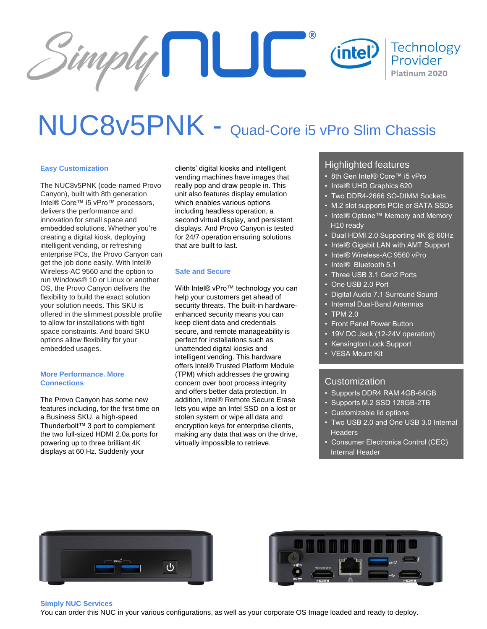

# NUC8v5PNK - Quad-Core i5 vPro Slim Chassis

### **Easy Customization**

The NUC8v5PNK (code-named Provo Canyon), built with 8th generation Intel® Core™ i5 vPro™ processors, delivers the performance and innovation for small space and embedded solutions. Whether you're creating a digital kiosk, deploying intelligent vending, or refreshing enterprise PCs, the Provo Canyon can get the job done easily. With Intel® Wireless-AC 9560 and the option to run Windows® 10 or Linux or another OS, the Provo Canyon delivers the flexibility to build the exact solution your solution needs. This SKU is offered in the slimmest possible profile to allow for installations with tight space constraints. And board SKU options allow flexibility for your embedded usages.

#### **More Performance. More Connections**

The Provo Canyon has some new features including, for the first time on a Business SKU, a high-speed Thunderbolt™ 3 port to complement the two full-sized HDMI 2.0a ports for powering up to three brilliant 4K displays at 60 Hz. Suddenly your

clients' digital kiosks and intelligent vending machines have images that really pop and draw people in. This unit also features display emulation which enables various options including headless operation, a second virtual display, and persistent displays. And Provo Canyon is tested for 24/7 operation ensuring solutions that are built to last.

### **Safe and Secure**

With Intel® vPro™ technology you can help your customers get ahead of security threats. The built-in hardwareenhanced security means you can keep client data and credentials secure, and remote manageability is perfect for installations such as unattended digital kiosks and intelligent vending. This hardware offers Intel® Trusted Platform Module (TPM) which addresses the growing concern over boot process integrity and offers better data protection. In addition, Intel® Remote Secure Erase lets you wipe an Intel SSD on a lost or stolen system or wipe all data and encryption keys for enterprise clients, making any data that was on the drive, virtually impossible to retrieve.

## Highlighted features

- 8th Gen Intel® Core™ i5 vPro
- Intel® UHD Graphics 620
- Two DDR4-2666 SO-DIMM Sockets
- M.2 slot supports PCIe or SATA SSDs
- Intel® Optane™ Memory and Memory H10 ready
- Dual HDMI 2.0 Supporting 4K @ 60Hz
- Intel® Gigabit LAN with AMT Support
- Intel® Wireless-AC 9560 vPro
- Intel® Bluetooth 5.1
- Three USB 3.1 Gen2 Ports
- One USB 2.0 Port
- Digital Audio 7.1 Surround Sound
- Internal Dual-Band Antennas
- TPM 2.0
- Front Panel Power Button
- 19V DC Jack (12-24V operation)
- Kensington Lock Support
- VESA Mount Kit

## Customization

- Supports DDR4 RAM 4GB-64GB
- Supports M.2 SSD 128GB-2TB
- Customizable lid options
- Two USB 2.0 and One USB 3.0 Internal **Headers**
- Consumer Electronics Control (CEC) Internal Header





### **Simply NUC Services**

You can order this NUC in your various configurations, as well as your corporate OS Image loaded and ready to deploy.